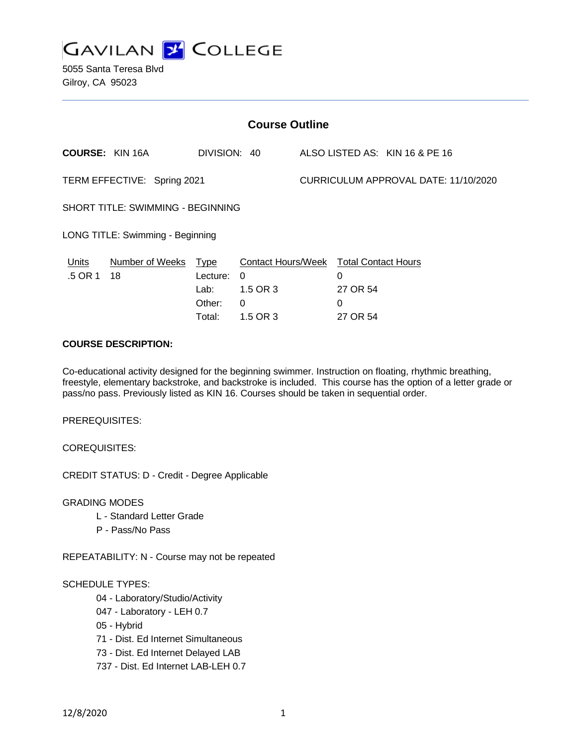

5055 Santa Teresa Blvd Gilroy, CA 95023

| <b>Course Outline</b>             |                            |                                      |                                                                                        |                                      |                                              |                                |
|-----------------------------------|----------------------------|--------------------------------------|----------------------------------------------------------------------------------------|--------------------------------------|----------------------------------------------|--------------------------------|
|                                   | <b>COURSE: KIN 16A</b>     | DIVISION: 40                         |                                                                                        |                                      |                                              | ALSO LISTED AS: KIN 16 & PE 16 |
| TERM EFFECTIVE: Spring 2021       |                            |                                      |                                                                                        | CURRICULUM APPROVAL DATE: 11/10/2020 |                                              |                                |
| SHORT TITLE: SWIMMING - BEGINNING |                            |                                      |                                                                                        |                                      |                                              |                                |
| LONG TITLE: Swimming - Beginning  |                            |                                      |                                                                                        |                                      |                                              |                                |
| <u>Units</u><br>.5 OR 1           | Number of Weeks Type<br>18 | Lecture:<br>Lab:<br>Other:<br>Total: | Contact Hours/Week Total Contact Hours<br>$\theta$<br>1.5 OR 3<br>$\Omega$<br>1.5 OR 3 |                                      | $\Omega$<br>27 OR 54<br>$\Omega$<br>27 OR 54 |                                |

## **COURSE DESCRIPTION:**

Co-educational activity designed for the beginning swimmer. Instruction on floating, rhythmic breathing, freestyle, elementary backstroke, and backstroke is included. This course has the option of a letter grade or pass/no pass. Previously listed as KIN 16. Courses should be taken in sequential order.

PREREQUISITES:

COREQUISITES:

CREDIT STATUS: D - Credit - Degree Applicable

GRADING MODES

- L Standard Letter Grade
- P Pass/No Pass

REPEATABILITY: N - Course may not be repeated

#### SCHEDULE TYPES:

- 04 Laboratory/Studio/Activity
- 047 Laboratory LEH 0.7
- 05 Hybrid
- 71 Dist. Ed Internet Simultaneous
- 73 Dist. Ed Internet Delayed LAB
- 737 Dist. Ed Internet LAB-LEH 0.7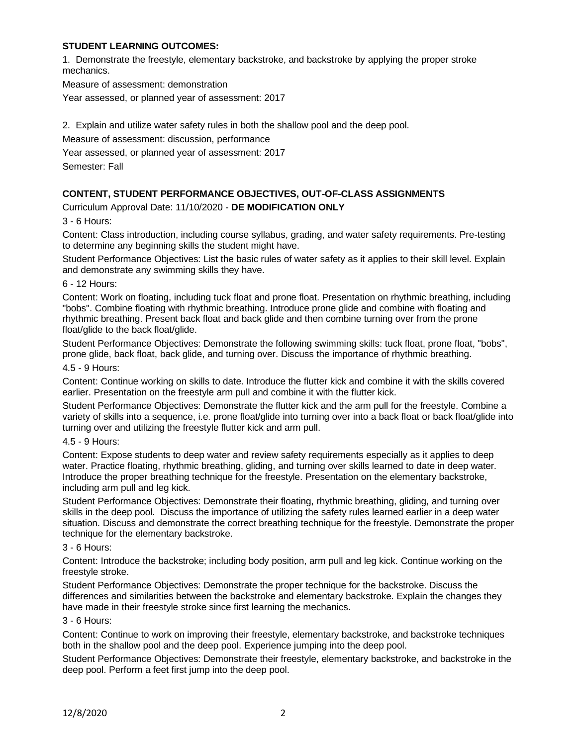## **STUDENT LEARNING OUTCOMES:**

1. Demonstrate the freestyle, elementary backstroke, and backstroke by applying the proper stroke mechanics.

Measure of assessment: demonstration

Year assessed, or planned year of assessment: 2017

2. Explain and utilize water safety rules in both the shallow pool and the deep pool.

Measure of assessment: discussion, performance

Year assessed, or planned year of assessment: 2017

Semester: Fall

### **CONTENT, STUDENT PERFORMANCE OBJECTIVES, OUT-OF-CLASS ASSIGNMENTS**

Curriculum Approval Date: 11/10/2020 - **DE MODIFICATION ONLY**

3 - 6 Hours:

Content: Class introduction, including course syllabus, grading, and water safety requirements. Pre-testing to determine any beginning skills the student might have.

Student Performance Objectives: List the basic rules of water safety as it applies to their skill level. Explain and demonstrate any swimming skills they have.

6 - 12 Hours:

Content: Work on floating, including tuck float and prone float. Presentation on rhythmic breathing, including "bobs". Combine floating with rhythmic breathing. Introduce prone glide and combine with floating and rhythmic breathing. Present back float and back glide and then combine turning over from the prone float/glide to the back float/glide.

Student Performance Objectives: Demonstrate the following swimming skills: tuck float, prone float, "bobs", prone glide, back float, back glide, and turning over. Discuss the importance of rhythmic breathing.

4.5 - 9 Hours:

Content: Continue working on skills to date. Introduce the flutter kick and combine it with the skills covered earlier. Presentation on the freestyle arm pull and combine it with the flutter kick.

Student Performance Objectives: Demonstrate the flutter kick and the arm pull for the freestyle. Combine a variety of skills into a sequence, i.e. prone float/glide into turning over into a back float or back float/glide into turning over and utilizing the freestyle flutter kick and arm pull.

4.5 - 9 Hours:

Content: Expose students to deep water and review safety requirements especially as it applies to deep water. Practice floating, rhythmic breathing, gliding, and turning over skills learned to date in deep water. Introduce the proper breathing technique for the freestyle. Presentation on the elementary backstroke, including arm pull and leg kick.

Student Performance Objectives: Demonstrate their floating, rhythmic breathing, gliding, and turning over skills in the deep pool. Discuss the importance of utilizing the safety rules learned earlier in a deep water situation. Discuss and demonstrate the correct breathing technique for the freestyle. Demonstrate the proper technique for the elementary backstroke.

#### 3 - 6 Hours:

Content: Introduce the backstroke; including body position, arm pull and leg kick. Continue working on the freestyle stroke.

Student Performance Objectives: Demonstrate the proper technique for the backstroke. Discuss the differences and similarities between the backstroke and elementary backstroke. Explain the changes they have made in their freestyle stroke since first learning the mechanics.

#### 3 - 6 Hours:

Content: Continue to work on improving their freestyle, elementary backstroke, and backstroke techniques both in the shallow pool and the deep pool. Experience jumping into the deep pool.

Student Performance Objectives: Demonstrate their freestyle, elementary backstroke, and backstroke in the deep pool. Perform a feet first jump into the deep pool.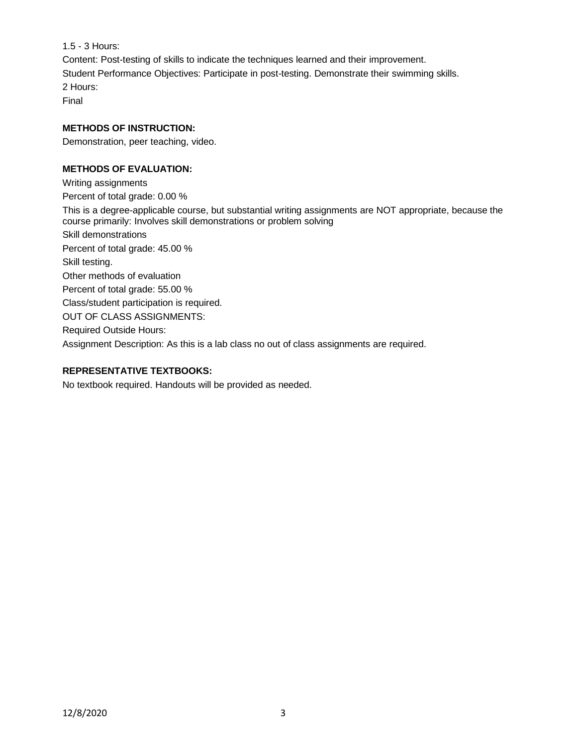1.5 - 3 Hours:

Content: Post-testing of skills to indicate the techniques learned and their improvement. Student Performance Objectives: Participate in post-testing. Demonstrate their swimming skills. 2 Hours:

Final

# **METHODS OF INSTRUCTION:**

Demonstration, peer teaching, video.

# **METHODS OF EVALUATION:**

Writing assignments Percent of total grade: 0.00 % This is a degree-applicable course, but substantial writing assignments are NOT appropriate, because the course primarily: Involves skill demonstrations or problem solving Skill demonstrations Percent of total grade: 45.00 % Skill testing. Other methods of evaluation Percent of total grade: 55.00 % Class/student participation is required. OUT OF CLASS ASSIGNMENTS: Required Outside Hours: Assignment Description: As this is a lab class no out of class assignments are required.

# **REPRESENTATIVE TEXTBOOKS:**

No textbook required. Handouts will be provided as needed.